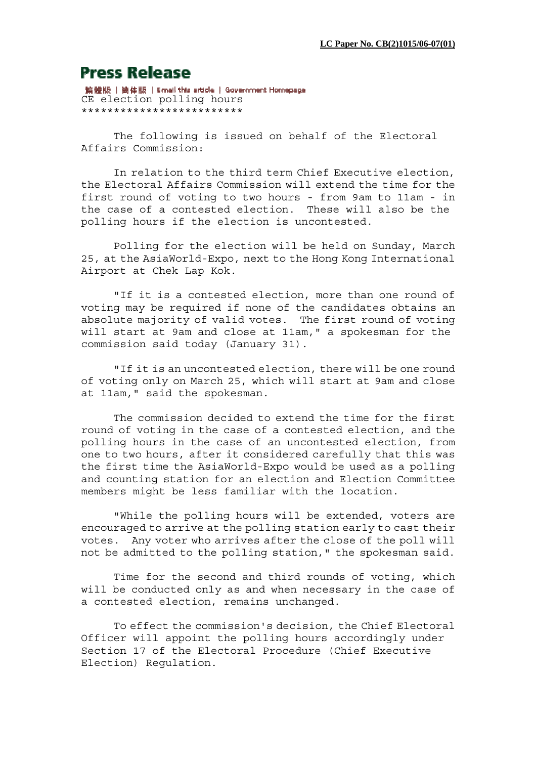## **Press Release**

繁體版 | 簡体版 | Email this article | Government Homepage CE election polling hours \*\*\*\*\*\*\*\*\*\*\*\*\*\*\*\*\*\*\*\*\*\*\*\*\*

 The following is issued on behalf of the Electoral Affairs Commission:

 In relation to the third term Chief Executive election, the Electoral Affairs Commission will extend the time for the first round of voting to two hours - from 9am to 11am - in the case of a contested election. These will also be the polling hours if the election is uncontested.

 Polling for the election will be held on Sunday, March 25, at the AsiaWorld-Expo, next to the Hong Kong International Airport at Chek Lap Kok.

 "If it is a contested election, more than one round of voting may be required if none of the candidates obtains an absolute majority of valid votes. The first round of voting will start at 9am and close at 11am," a spokesman for the commission said today (January 31).

 "If it is an uncontested election, there will be one round of voting only on March 25, which will start at 9am and close at 11am," said the spokesman.

 The commission decided to extend the time for the first round of voting in the case of a contested election, and the polling hours in the case of an uncontested election, from one to two hours, after it considered carefully that this was the first time the AsiaWorld-Expo would be used as a polling and counting station for an election and Election Committee members might be less familiar with the location.

 "While the polling hours will be extended, voters are encouraged to arrive at the polling station early to cast their votes. Any voter who arrives after the close of the poll will not be admitted to the polling station," the spokesman said.

 Time for the second and third rounds of voting, which will be conducted only as and when necessary in the case of a contested election, remains unchanged.

 To effect the commission's decision, the Chief Electoral Officer will appoint the polling hours accordingly under Section 17 of the Electoral Procedure (Chief Executive Election) Regulation.